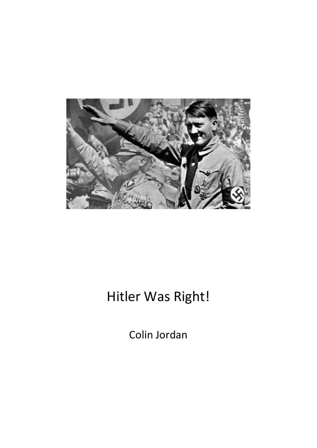

## Hitler Was Right!

Colin Jordan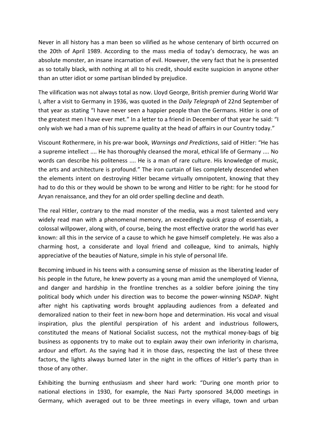Never in all history has a man been so vilified as he whose centenary of birth occurred on the 20th of April 1989. According to the mass media of today's democracy, he was an absolute monster, an insane incarnation of evil. However, the very fact that he is presented as so totally black, with nothing at all to his credit, should excite suspicion in anyone other than an utter idiot or some partisan blinded by prejudice.

The vilification was not always total as now. Lloyd George, British premier during World War I, after a visit to Germany in 1936, was quoted in the *Daily Telegraph* of 22nd September of that year as stating "I have never seen a happier people than the Germans. Hitler is one of the greatest men I have ever met." In a letter to a friend in December of that year he said: "I only wish we had a man of his supreme quality at the head of affairs in our Country today."

Viscount Rothermere, in his pre-war book, *Warnings and Predictions*, said of Hitler: "He has a supreme intellect .... He has thoroughly cleansed the moral, ethical life of Germany .... No words can describe his politeness .... He is a man of rare culture. His knowledge of music, the arts and architecture is profound." The iron curtain of lies completely descended when the elements intent on destroying Hitler became virtually omnipotent, knowing that they had to do this or they would be shown to be wrong and Hitler to be right: for he stood for Aryan renaissance, and they for an old order spelling decline and death.

The real Hitler, contrary to the mad monster of the media, was a most talented and very widely read man with a phenomenal memory, an exceedingly quick grasp of essentials, a colossal willpower, along with, of course, being the most effective orator the world has ever known: all this in the service of a cause to which he gave himself completely. He was also a charming host, a considerate and loyal friend and colleague, kind to animals, highly appreciative of the beauties of Nature, simple in his style of personal life.

Becoming imbued in his teens with a consuming sense of mission as the liberating leader of his people in the future, he knew poverty as a young man amid the unemployed of Vienna, and danger and hardship in the frontline trenches as a soldier before joining the tiny political body which under his direction was to become the power-winning NSDAP. Night after night his captivating words brought applauding audiences from a defeated and demoralized nation to their feet in new-born hope and determination. His vocal and visual inspiration, plus the plentiful perspiration of his ardent and industrious followers, constituted the means of National Socialist success, not the mythical money-bags of big business as opponents try to make out to explain away their own inferiority in charisma, ardour and effort. As the saying had it in those days, respecting the last of these three factors, the lights always burned later in the night in the offices of Hitler's party than in those of any other.

Exhibiting the burning enthusiasm and sheer hard work: "During one month prior to national elections in 1930, for example, the Nazi Party sponsored 34,000 meetings in Germany, which averaged out to be three meetings in every village, town and urban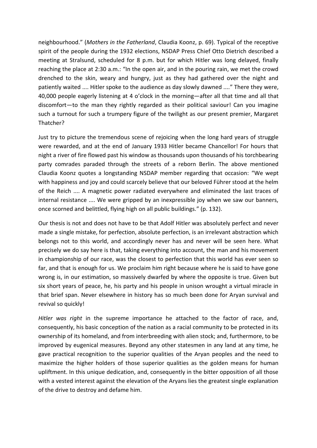neighbourhood." (*Mothers in the Fatherland*, Claudia Koonz, p. 69). Typical of the receptive spirit of the people during the 1932 elections, NSDAP Press Chief Otto Dietrich described a meeting at Stralsund, scheduled for 8 p.m. but for which Hitler was long delayed, finally reaching the place at 2:30 a.m.: "In the open air, and in the pouring rain, we met the crowd drenched to the skin, weary and hungry, just as they had gathered over the night and patiently waited .... Hitler spoke to the audience as day slowly dawned ...." There they were, 40,000 people eagerly listening at 4 o'clock in the morning—after all that time and all that discomfort—to the man they rightly regarded as their political saviour! Can you imagine such a turnout for such a trumpery figure of the twilight as our present premier, Margaret Thatcher?

Just try to picture the tremendous scene of rejoicing when the long hard years of struggle were rewarded, and at the end of January 1933 Hitler became Chancellor! For hours that night a river of fire flowed past his window as thousands upon thousands of his torchbearing party comrades paraded through the streets of a reborn Berlin. The above mentioned Claudia Koonz quotes a longstanding NSDAP member regarding that occasion: "We wept with happiness and joy and could scarcely believe that our beloved Führer stood at the helm of the Reich .... A magnetic power radiated everywhere and eliminated the last traces of internal resistance .... We were gripped by an inexpressible joy when we saw our banners, once scorned and belittled, flying high on all public buildings." (p. 132).

Our thesis is not and does not have to be that Adolf Hitler was absolutely perfect and never made a single mistake, for perfection, absolute perfection, is an irrelevant abstraction which belongs not to this world, and accordingly never has and never will be seen here. What precisely we do say here is that, taking everything into account, the man and his movement in championship of our race, was the closest to perfection that this world has ever seen so far, and that is enough for us. We proclaim him right because where he is said to have gone wrong is, in our estimation, so massively dwarfed by where the opposite is true. Given but six short years of peace, he, his party and his people in unison wrought a virtual miracle in that brief span. Never elsewhere in history has so much been done for Aryan survival and revival so quickly!

*Hitler was right* in the supreme importance he attached to the factor of race, and, consequently, his basic conception of the nation as a racial community to be protected in its ownership of its homeland, and from interbreeding with alien stock; and, furthermore, to be improved by eugenical measures. Beyond any other statesmen in any land at any time, he gave practical recognition to the superior qualities of the Aryan peoples and the need to maximize the higher holders of those superior qualities as the golden means for human upliftment. In this unique dedication, and, consequently in the bitter opposition of all those with a vested interest against the elevation of the Aryans lies the greatest single explanation of the drive to destroy and defame him.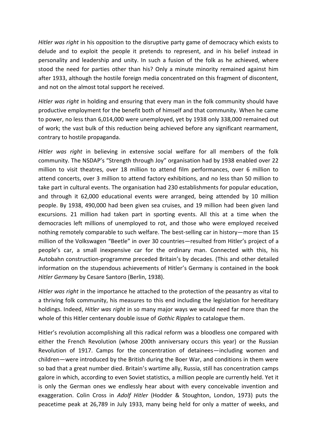*Hitler was right* in his opposition to the disruptive party game of democracy which exists to delude and to exploit the people it pretends to represent, and in his belief instead in personality and leadership and unity. In such a fusion of the folk as he achieved, where stood the need for parties other than his? Only a minute minority remained against him after 1933, although the hostile foreign media concentrated on this fragment of discontent, and not on the almost total support he received.

*Hitler was right* in holding and ensuring that every man in the folk community should have productive employment for the benefit both of himself and that community. When he came to power, no less than 6,014,000 were unemployed, yet by 1938 only 338,000 remained out of work; the vast bulk of this reduction being achieved before any significant rearmament, contrary to hostile propaganda.

*Hitler was right* in believing in extensive social welfare for all members of the folk community. The NSDAP's "Strength through Joy" organisation had by 1938 enabled over 22 million to visit theatres, over 18 million to attend film performances, over 6 million to attend concerts, over 3 million to attend factory exhibitions, and no less than 50 million to take part in cultural events. The organisation had 230 establishments for popular education, and through it 62,000 educational events were arranged, being attended by 10 million people. By 1938, 490,000 had been given sea cruises, and 19 million had been given land excursions. 21 million had taken part in sporting events. All this at a time when the democracies left millions of unemployed to rot, and those who were employed received nothing remotely comparable to such welfare. The best-selling car in history—more than 15 million of the Volkswagen "Beetle" in over 30 countries—resulted from Hitler's project of a people's car, a small inexpensive car for the ordinary man. Connected with this, his Autobahn construction-programme preceded Britain's by decades. (This and other detailed information on the stupendous achievements of Hitler's Germany is contained in the book *Hitler Germany* by Cesare Santoro (Berlin, 1938).

*Hitler was right* in the importance he attached to the protection of the peasantry as vital to a thriving folk community, his measures to this end including the legislation for hereditary holdings. Indeed, *Hitler was right* in so many major ways we would need far more than the whole of this Hitler centenary double issue of *Gothic Ripples* to catalogue them.

Hitler's revolution accomplishing all this radical reform was a bloodless one compared with either the French Revolution (whose 200th anniversary occurs this year) or the Russian Revolution of 1917. Camps for the concentration of detainees—including women and children—were introduced by the British during the Boer War, and conditions in them were so bad that a great number died. Britain's wartime ally, Russia, still has concentration camps galore in which, according to even Soviet statistics, a million people are currently held. Yet it is only the German ones we endlessly hear about with every conceivable invention and exaggeration. Colin Cross in *Adolf Hitler* (Hodder & Stoughton, London, 1973) puts the peacetime peak at 26,789 in July 1933, many being held for only a matter of weeks, and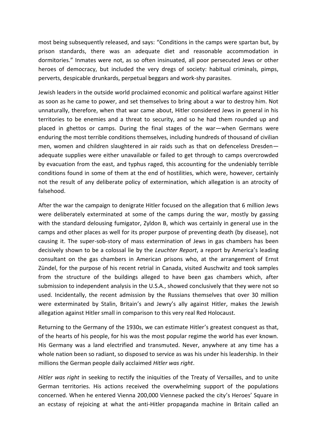most being subsequently released, and says: "Conditions in the camps were spartan but, by prison standards, there was an adequate diet and reasonable accommodation in dormitories." Inmates were not, as so often insinuated, all poor persecuted Jews or other heroes of democracy, but included the very dregs of society: habitual criminals, pimps, perverts, despicable drunkards, perpetual beggars and work-shy parasites.

Jewish leaders in the outside world proclaimed economic and political warfare against Hitler as soon as he came to power, and set themselves to bring about a war to destroy him. Not unnaturally, therefore, when that war came about, Hitler considered Jews in general in his territories to be enemies and a threat to security, and so he had them rounded up and placed in ghettos or camps. During the final stages of the war—when Germans were enduring the most terrible conditions themselves, including hundreds of thousand of civilian men, women and children slaughtered in air raids such as that on defenceless Dresden adequate supplies were either unavailable or failed to get through to camps overcrowded by evacuation from the east, and typhus raged, this accounting for the undeniably terrible conditions found in some of them at the end of hostilities, which were, however, certainly not the result of any deliberate policy of extermination, which allegation is an atrocity of falsehood.

After the war the campaign to denigrate Hitler focused on the allegation that 6 million Jews were deliberately exterminated at some of the camps during the war, mostly by gassing with the standard delousing fumigator, Zyldon B, which was certainly in general use in the camps and other places as well for its proper purpose of preventing death (by disease), not causing it. The super-sob-story of mass extermination of Jews in gas chambers has been decisively shown to be a colossal lie by the *Leuchter Report*, a report by America's leading consultant on the gas chambers in American prisons who, at the arrangement of Ernst Zündel, for the purpose of his recent retrial in Canada, visited Auschwitz and took samples from the structure of the buildings alleged to have been gas chambers which, after submission to independent analysis in the U.S.A., showed conclusively that they were not so used. Incidentally, the recent admission by the Russians themselves that over 30 million were exterminated by Stalin, Britain's and Jewry's ally against Hitler, makes the Jewish allegation against Hitler small in comparison to this very real Red Holocaust.

Returning to the Germany of the 1930s, we can estimate Hitler's greatest conquest as that, of the hearts of his people, for his was the most popular regime the world has ever known. His Germany was a land electrified and transmuted. Never, anywhere at any time has a whole nation been so radiant, so disposed to service as was his under his leadership. In their millions the German people daily acclaimed *Hitler was right*.

*Hitler was right* in seeking to rectify the iniquities of the Treaty of Versailles, and to unite German territories. His actions received the overwhelming support of the populations concerned. When he entered Vienna 200,000 Viennese packed the city's Heroes' Square in an ecstasy of rejoicing at what the anti-Hitler propaganda machine in Britain called an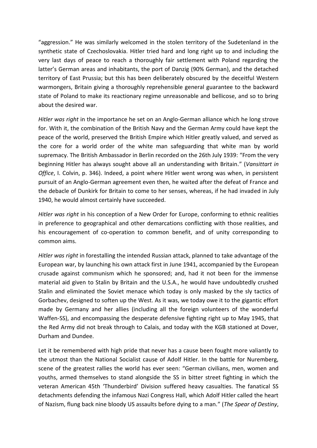"aggression." He was similarly welcomed in the stolen territory of the Sudetenland in the synthetic state of Czechoslovakia. Hitler tried hard and long right up to and including the very last days of peace to reach a thoroughly fair settlement with Poland regarding the latter's German areas and inhabitants, the port of Danzig (90% German), and the detached territory of East Prussia; but this has been deliberately obscured by the deceitful Western warmongers, Britain giving a thoroughly reprehensible general guarantee to the backward state of Poland to make its reactionary regime unreasonable and bellicose, and so to bring about the desired war.

*Hitler was right* in the importance he set on an Anglo-German alliance which he long strove for. With it, the combination of the British Navy and the German Army could have kept the peace of the world, preserved the British Empire which Hitler greatly valued, and served as the core for a world order of the white man safeguarding that white man by world supremacy. The British Ambassador in Berlin recorded on the 26th July 1939: "From the very beginning Hitler has always sought above all an understanding with Britain." (*Vansittart in Office*, I. Colvin, p. 346). Indeed, a point where Hitler went wrong was when, in persistent pursuit of an Anglo-German agreement even then, he waited after the defeat of France and the debacle of Dunkirk for Britain to come to her senses, whereas, if he had invaded in July 1940, he would almost certainly have succeeded.

*Hitler was right* in his conception of a New Order for Europe, conforming to ethnic realities in preference to geographical and other demarcations conflicting with those realities, and his encouragement of co-operation to common benefit, and of unity corresponding to common aims.

*Hitler was right* in forestalling the intended Russian attack, planned to take advantage of the European war, by launching his own attack first in June 1941, accompanied by the European crusade against communism which he sponsored; and, had it not been for the immense material aid given to Stalin by Britain and the U.S.A., he would have undoubtedly crushed Stalin and eliminated the Soviet menace which today is only masked by the sly tactics of Gorbachev, designed to soften up the West. As it was, we today owe it to the gigantic effort made by Germany and her allies (including all the foreign volunteers of the wonderful Waffen-SS), and encompassing the desperate defensive fighting right up to May 1945, that the Red Army did not break through to Calais, and today with the KGB stationed at Dover, Durham and Dundee.

Let it be remembered with high pride that never has a cause been fought more valiantly to the utmost than the National Socialist cause of Adolf Hitler. In the battle for Nuremberg, scene of the greatest rallies the world has ever seen: "German civilians, men, women and youths, armed themselves to stand alongside the SS in bitter street fighting in which the veteran American 45th 'Thunderbird' Division suffered heavy casualties. The fanatical SS detachments defending the infamous Nazi Congress Hall, which Adolf Hitler called the heart of Nazism, flung back nine bloody US assaults before dying to a man." (*The Spear of Destiny*,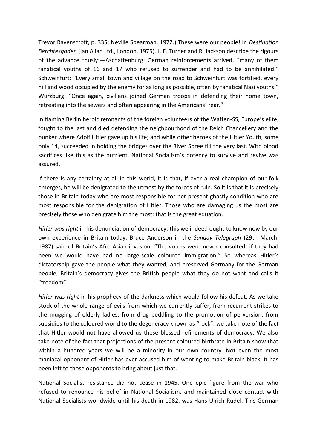Trevor Ravenscroft, p. 335; Neville Spearman, 1972.) These were our people! In *Destination Berchtesgaden* (Ian Allan Ltd., London, 1975), J. F. Turner and R. Jackson describe the rigours of the advance thusly:—Aschaffenburg: German reinforcements arrived, "many of them fanatical youths of 16 and 17 who refused to surrender and had to be annihilated." Schweinfurt: "Every small town and village on the road to Schweinfurt was fortified, every hill and wood occupied by the enemy for as long as possible, often by fanatical Nazi youths." Würzburg: "Once again, civilians joined German troops in defending their home town, retreating into the sewers and often appearing in the Americans' rear."

In flaming Berlin heroic remnants of the foreign volunteers of the Waffen-SS, Europe's elite, fought to the last and died defending the neighbourhood of the Reich Chancellery and the bunker where Adolf Hitler gave up his life; and while other heroes of the Hitler Youth, some only 14, succeeded in holding the bridges over the River Spree till the very last. With blood sacrifices like this as the nutrient, National Socialism's potency to survive and revive was assured.

If there is any certainty at all in this world, it is that, if ever a real champion of our folk emerges, he will be denigrated to the utmost by the forces of ruin. So it is that it is precisely those in Britain today who are most responsible for her present ghastly condition who are most responsible for the denigration of Hitler. Those who are damaging us the most are precisely those who denigrate him the most: that is the great equation.

*Hitler was right* in his denunciation of democracy; this we indeed ought to know now by our own experience in Britain today. Bruce Anderson in the *Sunday Telegraph* (29th March, 1987) said of Britain's Afro-Asian invasion: "The voters were never consulted: if they had been we would have had no large-scale coloured immigration." So whereas Hitler's dictatorship gave the people what they wanted, and preserved Germany for the German people, Britain's democracy gives the British people what they do not want and calls it "freedom".

*Hitler was right* in his prophecy of the darkness which would follow his defeat. As we take stock of the whole range of evils from which we currently suffer, from recurrent strikes to the mugging of elderly ladies, from drug peddling to the promotion of perversion, from subsidies to the coloured world to the degeneracy known as "rock", we take note of the fact that Hitler would not have allowed us these blessed refinements of democracy. We also take note of the fact that projections of the present coloured birthrate in Britain show that within a hundred years we will be a minority in our own country. Not even the most maniacal opponent of Hitler has ever accused him of wanting to make Britain black. It has been left to those opponents to bring about just that.

National Socialist resistance did not cease in 1945. One epic figure from the war who refused to renounce his belief in National Socialism, and maintained close contact with National Socialists worldwide until his death in 1982, was Hans-Ulrich Rudel. This German